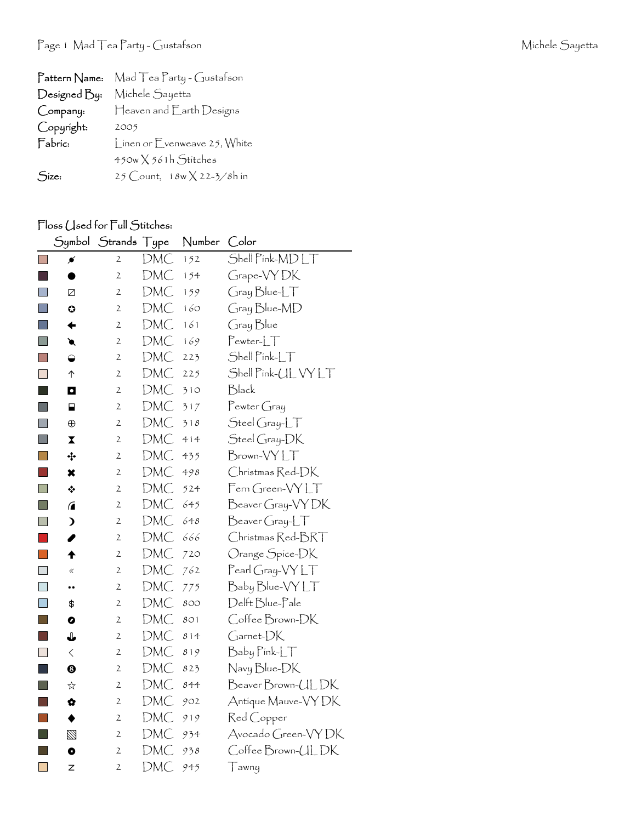| Pattern Name: | Mad Tea Party - Gustafson           |
|---------------|-------------------------------------|
| Designed By:  | Michele Sayetta                     |
| Company:      | Heaven and Earth Designs            |
| Copyright:    | 2005                                |
| Fabric:       | Linen or Evenweave 25, White        |
|               | $450w \times 561h$ Stitches         |
| Size:         | 25 Count, $18w \times 22 - 3/8h$ in |

## Floss (Jsed for Full Stitches:

|                             | Symbol                  | Strands        | Type | Number | Color                                  |
|-----------------------------|-------------------------|----------------|------|--------|----------------------------------------|
| $\overline{\phantom{a}}$    | ≸                       | $\mathbf{2}$   | DMC  | 152    | Shell Pink-MDLT                        |
|                             |                         | 2              | DMC  | 154    | Grape-VYDK                             |
| $\Box$                      | Ø                       | $\overline{2}$ | DMC  | 159    | $Gray Blue-LT$                         |
| $\Box$                      | $\bullet$               | $\mathfrak{2}$ | DMC  | 160    | Gray Blue-MD                           |
| F.                          | ←                       | $\mathfrak{2}$ | DMC  | 161    | Gray Blue                              |
| <b>In the State</b>         | €                       | 2              | DMC  | 169    | $Pewter-LT$                            |
| $\mathbb{R}^n$              | ◒                       | 2              | DMC  | 223    | Shell Pink-LT                          |
| H                           | ↑                       | 2              | DMC  | 225    | Shell Pink-UL VY LT                    |
| <b>STAR</b>                 | O                       | 2              | DMC  | 310    | Black                                  |
| T.                          | ⊟                       | 2              | DMC  | 317    | $P$ ewter Gray                         |
| F.                          | $\oplus$                | 2              | DMC  | 318    | $Stel Gray-LT$                         |
| $\Box$                      | $\overline{\mathbf{X}}$ | 2              | DMC  | 414    | Steel Gray-DK                          |
| Ū                           | ÷                       | 2              | DMC  | 435    | Brown-VYLT                             |
| $\mathcal{C}^{\mathcal{A}}$ | ×                       | 2              | DMC  | 498    | Christmas Red-DK                       |
| H                           | ❖                       | 2              | DMC  | 524    | Fern Green-VYLT                        |
|                             | $\sqrt{2}$              | 2              | DMC  | 645    | Beaver Gray-VYDK                       |
| <b>I</b>                    | $\lambda$               | 2              | DMC  | 648    | $\beta$ eaver Gray-L $\top$            |
|                             | I                       | $\mathfrak{2}$ | DMC  | 666    | Christmas Red-BRT                      |
| $\overline{\mathbb{R}^2}$   | ♠                       | 2              | DMC  | 720    | Orange Spice-DK                        |
| $\overline{\phantom{a}}$    | $\langle\!\langle$      | $\mathfrak{2}$ | DMC  | 762    | $\mathsf{Pearl}$ Gray- $\mathsf{VYLT}$ |
| $\Box$                      |                         | 2              | DMC  | 775    | Baby Blue-VY LT                        |
| $\Box$                      | \$                      | 2              | DMC  | 800    | Delft Blue-Pale                        |
| $\mathcal{L}_{\mathcal{A}}$ | 0                       | 2              | DMC  | 801    | Coffee Brown-DK                        |
| h.                          | ↓                       | $\mathfrak{2}$ | DMC  | 814    | Garnet-DK                              |
| $\sim$                      | $\lt$                   | 2              | DMC  | 819    | Baby Pink-LT                           |
| L                           | ☺                       | 2              | DMC  | 823    | Navy Blue-DK                           |
| n.                          | ☆                       | 2              | DMC  | 844    | Beaver Brown-UL DK                     |
| h.                          | ✿                       | 2              | DMC  | 902    | Antique Mauve-VY DK                    |
|                             | ♦                       | $\mathfrak{2}$ | DMC  | 919    | Red Copper                             |
| l a                         | Ø                       | 2              | DMC  | 934    | Avocado Green-VY DK                    |
| <b>College</b>              | $\bullet$               | 2              | DMC  | 938    | Coffee Brown-ULDK                      |
| $\Box$                      | Z                       | 2              | DMC  | 945    | $\top$ awny                            |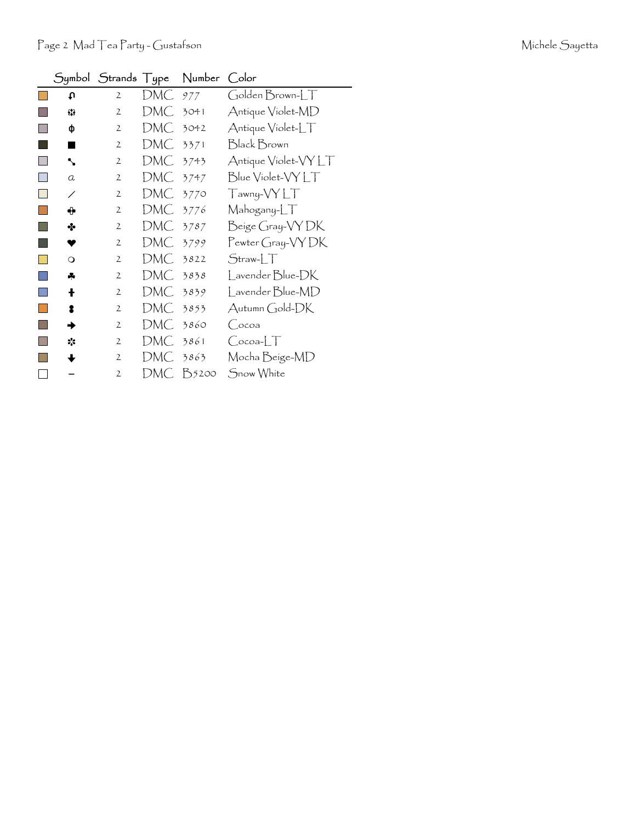|  | Michele Sayetta |
|--|-----------------|
|--|-----------------|

|    |          | Symbol Strands Type |      | Number Color |                      |
|----|----------|---------------------|------|--------------|----------------------|
|    | c٥       | 2                   | DMC. | 977          | Golden Brown-LT      |
|    | 83       | $\mathfrak{2}$      | DMC  | 3041         | Antique Violet-MD    |
|    | ф        | 2                   | DMC. | 3042         | Antique Violet-LT    |
|    |          | 2                   | DMC. | 3371         | Black Brown          |
|    | ↖        | $\overline{2}$      | DMC. | 3743         | Antique Violet-VY LT |
|    | a        | $\overline{2}$      | DMC. | 3747         | Blue Violet-VYLT     |
| ×. | ∕        | $\mathbf{2}$        | DMC. | 3770         | Tawny-VYLT           |
|    | ⊕        | $\overline{2}$      | DMC. | 3776         | Mahogany-LT          |
|    | ∻        | 2                   | DMC  | 3787         | Beige Gray-VY DK     |
|    |          | $\overline{2}$      | DMC  | 3799         | Pewter Gray-VY DK    |
|    | $\Omega$ | 2                   | DMC  | 3822         | $Straw-LT$           |
|    | ÷        | 2                   | DMC  | 3838         | Lavender Blue-DK     |
|    | ł        | 2                   | DMC  | 3839         | Lavender Blue-MD     |
|    | 2        | $\overline{2}$      | DMC  | 3853         | Autumn Gold-DK       |
|    |          | $\overline{2}$      | DMC  | 3860         | (ocoa                |
|    | ☆        | $\mathbf{2}$        | DMC  | 3861         | $Cocoa-LT$           |
|    |          | $\overline{2}$      | DMC  | 3863         | Mocha Beige-MD       |
|    |          | $\overline{2}$      | DMC. | B5200        | Snow White           |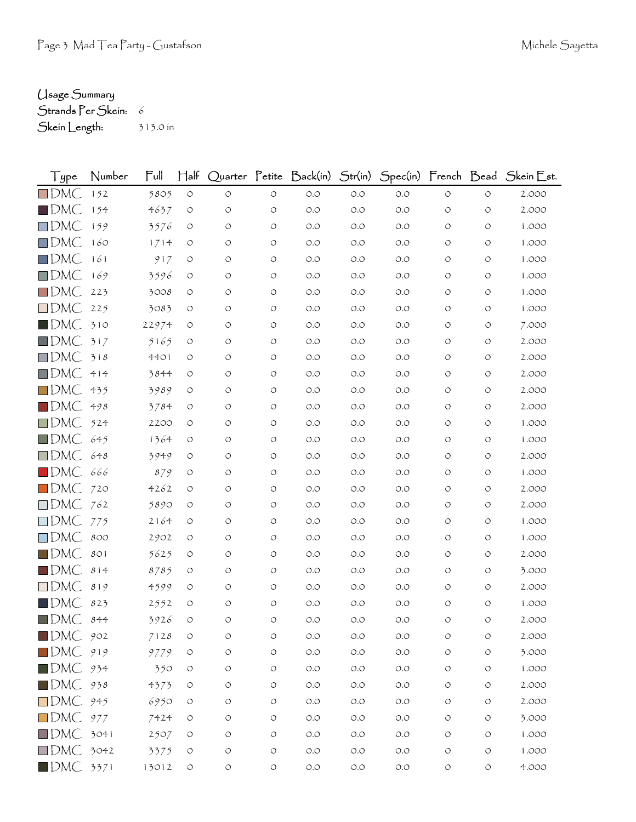## Usage Summary

Strands Per Skein: 6 Skein Length: 313.0 in

| Type                        | Number | Full  | $\mathsf{H}\mathsf{a}\mathsf{f}$ |                    |            |                      |       |       |            |                    | Quarter Petite Back(in) Str(in) Spec(in) French Bead Skein Est. |
|-----------------------------|--------|-------|----------------------------------|--------------------|------------|----------------------|-------|-------|------------|--------------------|-----------------------------------------------------------------|
| $\Box$ DMC                  | 152    | 5805  | $\circlearrowleft$               | $\circlearrowleft$ | $\circ$    | $O.O$                | O.O   | O.O   | $\circ$    | $\circ$            | 2.000                                                           |
| $\blacksquare$ DMC          | 154    | 4637  | O                                | O                  | O          | O.O                  | 0.0   | O.O   | O          | O                  | 2.000                                                           |
| $\Box$ DMC                  | 159    | 3576  | O                                | O                  | O          | O.O                  | O.O   | O.O   | O          | O                  | 1.000                                                           |
| $\Box$ DMC                  | 160    | 1714  | O                                | O                  | O          | O.O                  | O.O   | O.O   | O          | O                  | 1.000                                                           |
| $\Box$ DMC                  | 161    | 917   | O                                | O                  | O          | O.O                  | O.O   | O.O   | O          | O                  | 1.000                                                           |
| $\Box$ DMC                  | 169    | 3596  | O                                | O                  | O          | O.O                  | O.O   | O.O   | O          | O                  | 1.000                                                           |
| $\Box$ DMC                  | 223    | 3008  | O                                | O                  | O          | O.O                  | O.O   | O.O   | O          | O                  | 1.000                                                           |
| $\Box$ DMC                  | 225    | 3083  | O                                | O                  | O          | O.O                  | O.O   | O.O   | O          | O                  | 1.000                                                           |
| $\blacksquare$ DMC          | 310    | 22974 | O                                | O                  | O          | O.O                  | O.O   | O.O   | O          | O                  | 7.000                                                           |
| $\blacksquare$ DMC          | 317    | 5165  | O                                | O                  | O          | O.O                  | O.O   | O.O   | O          | O                  | 2.000                                                           |
| $\Box$ DMC                  | 318    | 4401  | O                                | O                  | O          | O.O                  | O.O   | O.O   | O          | O                  | 2.000                                                           |
| $\Box$ DMC                  | 414    | 3844  | O                                | O                  | O          | O.O                  | O.O   | O.O   | O          | O                  | 2.000                                                           |
| $\Box$ DMC                  | 435    | 3989  | O                                | O                  | O          | O.O                  | O.O   | O.O   | O          | O                  | 2.000                                                           |
| $\blacksquare$ dmC          | 498    | 3784  | O                                | O                  | O          | O.O                  | O.O   | O.O   | O          | O                  | 2.000                                                           |
| $\square$ DMC               | 524    | 2200  | $\circ$                          | O                  | O          | O.O                  | O.O   | O.O   | O          | $\circ$            | 1.000                                                           |
| $\Box$ DMC                  | 645    | 1364  | O                                | O                  | O          | O.O                  | O.O   | O.O   | O          | O                  | 1.000                                                           |
| $\Box$ DMC                  | 648    | 3949  | O                                | O                  | O          | O.O                  | O.O   | O.O   | O          | O                  | 2.000                                                           |
| $\blacksquare$ DMC          | 666    | 879   | O                                | O                  | O          | O.O                  | O.O   | O.O   | O          | O                  | 1.000                                                           |
| $\Box$ DMC                  | 720    | 4262  | O                                | O                  | O          | O.O                  | O.O   | O.O   | O          | O                  | 2.000                                                           |
| $\square$ DMC               | 762    | 5890  | O                                | O                  | O          | O.O                  | O.O   | O.O   | O          | O                  | 2.000                                                           |
| $\square$ DMC               | 775    | 2164  | O                                | O                  | O          | O.O                  | O.O   | O.O   | O          | $\circ$            | 1.000                                                           |
| $\Box$ DMC                  | 800    | 2902  | O                                | O                  | O          | O.O                  | O.O   | O.O   | O          | O                  | 1.000                                                           |
| $\blacksquare$ DMC          | 801    | 5625  | $\circ$                          | O                  | O          | O.O                  | O.O   | O.O   | O          | O                  | 2.000                                                           |
| $\blacksquare$ DMC          | 814    | 8785  | O                                | O                  | O          | O.O                  | O.O   | O.O   | O          | O                  | 3.000                                                           |
| $\square$ DMC               | 819    | 4599  | O                                | O                  | O          | O.O                  | O.O   | O.O   | O          | O                  | 2.000                                                           |
| $\blacksquare$ dm $\subset$ | 823    | 2552  | O                                | O                  | O          | O.O                  | O.O   | O.O   | O          | O                  | 1.000                                                           |
| $\blacksquare$ DMC          | 844    | 3926  | O                                | O                  | O          | O.O                  | O.O   | O.O   | O          | O                  | 2.000                                                           |
| $\blacksquare$ DMC          | 902    | 7128  | $\circ$                          | O                  | $\bigcirc$ | $O.O$                | O.O   | O.O   | O          | $\circ$            | 2.000                                                           |
| $\square$ DMC               | 919    | 9779  | $\circlearrowleft$               | O                  | $\bigcirc$ | $\circ$ .<br>$\circ$ | $O.O$ | $O.O$ | O          | O                  | 3.000                                                           |
| $\blacksquare$ DMC $934$    |        | 350   | $\circlearrowleft$               | $\bigcirc$         | $\bigcirc$ | $O.O$                | $O.O$ | O.O   | $\bigcirc$ | $\circlearrowleft$ | 1.000                                                           |
| $\square$ DMC               | 938    | 4373  | $\circlearrowleft$               | $\bigcirc$         | $\bigcirc$ | $\circ$ .<br>$\circ$ | $O.O$ | $O.O$ | $\bigcirc$ | $\circlearrowleft$ | 2.000                                                           |
| $\square$ DMC               | 945    | 6950  | $\circ$                          | O                  | $\bigcirc$ | $O.O$                | O.O   | $O.O$ | $\circ$    | $\circ$            | 2.000                                                           |
| $\Box$ DMC 977              |        | 7424  | $\circlearrowleft$               | $\bigcirc$         | $\bigcirc$ | $O.O$                | $O.O$ | $O.O$ | O          | O                  | 3.000                                                           |
| DMC 3041                    |        | 2507  | $\circlearrowleft$               | $\circ$            | $\bigcirc$ | $O.O$                | $O.O$ | $O.O$ | $\circ$    | $\circ$            | 1.000                                                           |
| $\Box$ DMC 3042             |        | 3375  | $\circlearrowleft$               | $\bigcirc$         | $\bigcirc$ | $O.O$                | O.O   | $O.O$ | $\circ$    | $\circ$            | 1.000                                                           |
| $\blacksquare$ DMC 3371     |        | 13012 | $\circ$                          | $\circ$            | $\bigcirc$ | $O.O$                | $O.O$ | $O.O$ | $\bigcirc$ | $\circlearrowleft$ | 4.000                                                           |